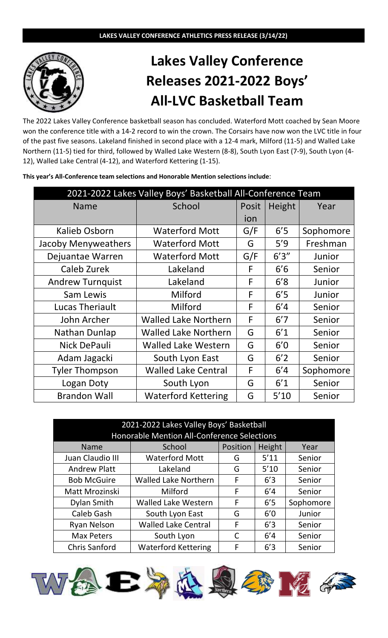

## **Lakes Valley Conference Releases 2021-2022 Boys' All-LVC Basketball Team**

The 2022 Lakes Valley Conference basketball season has concluded. Waterford Mott coached by Sean Moore won the conference title with a 14-2 record to win the crown. The Corsairs have now won the LVC title in four of the past five seasons. Lakeland finished in second place with a 12-4 mark, Milford (11-5) and Walled Lake Northern (11-5) tied for third, followed by Walled Lake Western (8-8), South Lyon East (7-9), South Lyon (4- 12), Walled Lake Central (4-12), and Waterford Kettering (1-15).

| This year's All-Conference team selections and Honorable Mention selections include: |  |  |  |
|--------------------------------------------------------------------------------------|--|--|--|
|                                                                                      |  |  |  |

| 2021-2022 Lakes Valley Boys' Basketball All-Conference Team |                             |       |        |           |  |
|-------------------------------------------------------------|-----------------------------|-------|--------|-----------|--|
| <b>Name</b>                                                 | School                      | Posit | Height | Year      |  |
|                                                             |                             | ion   |        |           |  |
| <b>Kalieb Osborn</b>                                        | <b>Waterford Mott</b>       | G/F   | 6'5    | Sophomore |  |
| Jacoby Menyweathers                                         | <b>Waterford Mott</b>       | G     | 5'9    | Freshman  |  |
| Dejuantae Warren                                            | <b>Waterford Mott</b>       | G/F   | 6'3''  | Junior    |  |
| Caleb Zurek                                                 | Lakeland                    | F     | 6'6    | Senior    |  |
| <b>Andrew Turnquist</b>                                     | Lakeland                    | F     | 6'8    | Junior    |  |
| Sam Lewis                                                   | Milford                     | F     | 6'5    | Junior    |  |
| <b>Lucas Theriault</b>                                      | Milford                     | F     | 6'4    | Senior    |  |
| John Archer                                                 | <b>Walled Lake Northern</b> | F     | 6'7    | Senior    |  |
| Nathan Dunlap                                               | <b>Walled Lake Northern</b> | G     | 6'1    | Senior    |  |
| Nick DePauli                                                | <b>Walled Lake Western</b>  | G     | 6'0    | Senior    |  |
| Adam Jagacki                                                | South Lyon East             | G     | 6'2    | Senior    |  |
| <b>Tyler Thompson</b>                                       | <b>Walled Lake Central</b>  | F     | 6'4    | Sophomore |  |
| Logan Doty                                                  | South Lyon                  | G     | 6'1    | Senior    |  |
| <b>Brandon Wall</b>                                         | <b>Waterford Kettering</b>  | G     | 5'10   | Senior    |  |

| 2021-2022 Lakes Valley Boys' Basketball<br><b>Honorable Mention All-Conference Selections</b> |                             |          |        |           |  |
|-----------------------------------------------------------------------------------------------|-----------------------------|----------|--------|-----------|--|
| <b>Name</b>                                                                                   | School                      | Position | Height | Year      |  |
| Juan Claudio III                                                                              | <b>Waterford Mott</b>       | G        | 5'11   | Senior    |  |
| <b>Andrew Platt</b>                                                                           | Lakeland                    | G        | $5'10$ | Senior    |  |
| <b>Bob McGuire</b>                                                                            | <b>Walled Lake Northern</b> | F        | 6'3    | Senior    |  |
| Matt Mrozinski                                                                                | Milford                     | F        | 6'4    | Senior    |  |
| Dylan Smith                                                                                   | <b>Walled Lake Western</b>  | F        | 6'5    | Sophomore |  |
| Caleb Gash                                                                                    | South Lyon East             | G        | 6'0    | Junior    |  |
| <b>Ryan Nelson</b>                                                                            | <b>Walled Lake Central</b>  | F        | 6'3    | Senior    |  |
| <b>Max Peters</b>                                                                             | South Lyon                  | C        | 6'4    | Senior    |  |
| <b>Chris Sanford</b>                                                                          | <b>Waterford Kettering</b>  | F        | 6'3    | Senior    |  |